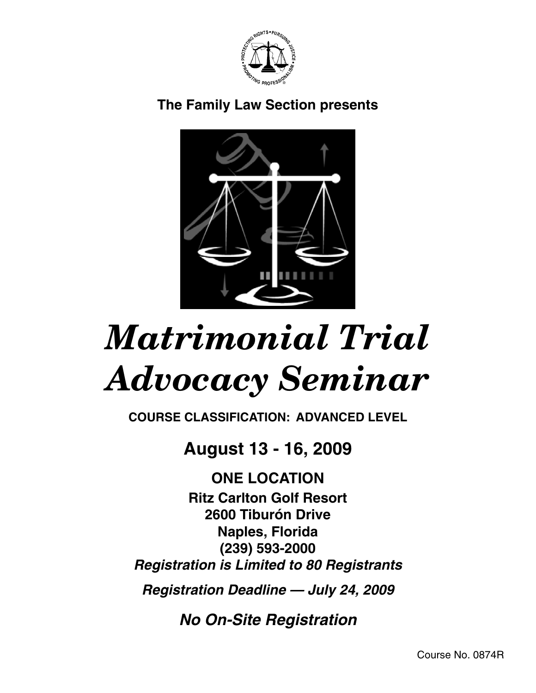

## **The Family Law Section presents**



# *Matrimonial Trial Advocacy Seminar*

**COURSE CLASSIFICATION: advanced LEVEL**

## **August 13 - 16, 2009**

**ONE LOCATION Ritz Carlton Golf Resort 2600 Tiburón Drive Naples, Florida (239) 593-2000 Registration is Limited to 80 Registrants**

**Registration Deadline — July 24, 2009**

**No On-Site Registration**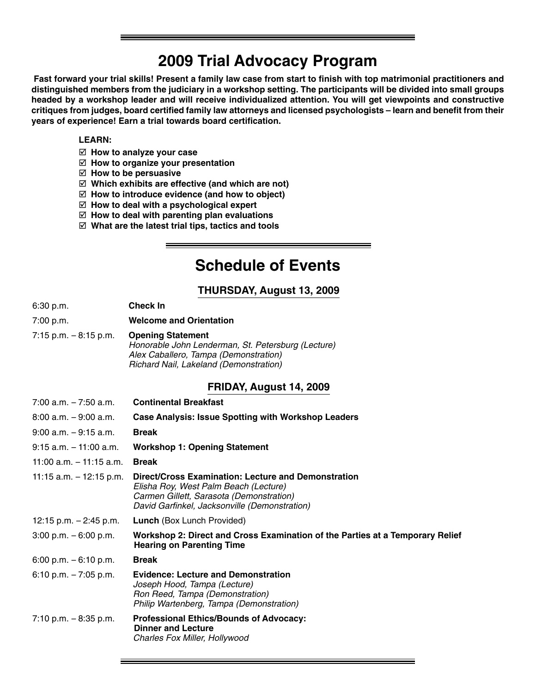## **2009 Trial Advocacy Program**

**Fast forward your trial skills! Present a family law case from start to finish with top matrimonial practitioners and distinguished members from the judiciary in a workshop setting. The participants will be divided into small groups headed by a workshop leader and will receive individualized attention. You will get viewpoints and constructive critiques from judges, board certified family law attorneys and licensed psychologists – learn and benefit from their years of experience! Earn a trial towards board certification.**

#### **LEARN:**

- **How to analyze your case**
- **How to organize your presentation**
- **How to be persuasive**
- **Which exhibits are effective (and which are not)**
- **How to introduce evidence (and how to object)**
- **How to deal with a psychological expert**
- **How to deal with parenting plan evaluations**
- **What are the latest trial tips, tactics and tools**

## **Schedule of Events**

#### **THURSDAY, August 13, 2009**

| 6:30 p.m. | <b>Check In</b> |
|-----------|-----------------|
|-----------|-----------------|

- 7:00 p.m. **Welcome and Orientation**
- 7:15 p.m. 8:15 p.m. **Opening Statement** Honorable John Lenderman, St. Petersburg (Lecture) Alex Caballero, Tampa (Demonstration) Richard Nail, Lakeland (Demonstration)

#### **FRIDAY, August 14, 2009**

| <b>Continental Breakfast</b>                                                                                                                                                              |
|-------------------------------------------------------------------------------------------------------------------------------------------------------------------------------------------|
| <b>Case Analysis: Issue Spotting with Workshop Leaders</b>                                                                                                                                |
| <b>Break</b>                                                                                                                                                                              |
| <b>Workshop 1: Opening Statement</b>                                                                                                                                                      |
| <b>Break</b>                                                                                                                                                                              |
| Direct/Cross Examination: Lecture and Demonstration<br>Elisha Roy, West Palm Beach (Lecture)<br>Carmen Gillett, Sarasota (Demonstration)<br>David Garfinkel, Jacksonville (Demonstration) |
| <b>Lunch</b> (Box Lunch Provided)                                                                                                                                                         |
| Workshop 2: Direct and Cross Examination of the Parties at a Temporary Relief<br><b>Hearing on Parenting Time</b>                                                                         |
| <b>Break</b>                                                                                                                                                                              |
| <b>Evidence: Lecture and Demonstration</b><br>Joseph Hood, Tampa (Lecture)<br>Ron Reed, Tampa (Demonstration)<br>Philip Wartenberg, Tampa (Demonstration)                                 |
| <b>Professional Ethics/Bounds of Advocacy:</b><br><b>Dinner and Lecture</b><br>Charles Fox Miller, Hollywood                                                                              |
|                                                                                                                                                                                           |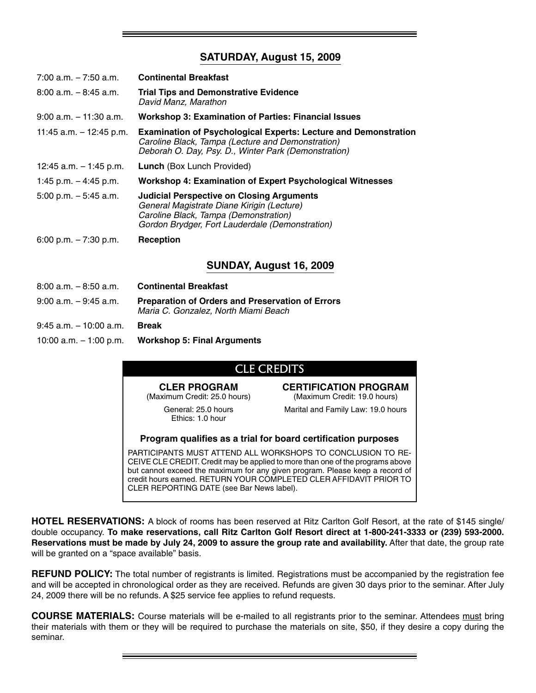#### **SATURDAY, August 15, 2009**

| $7:00$ a.m. $-7:50$ a.m.  | <b>Continental Breakfast</b>                                                                                                                                                               |
|---------------------------|--------------------------------------------------------------------------------------------------------------------------------------------------------------------------------------------|
| $8:00$ a.m. $-8:45$ a.m.  | <b>Trial Tips and Demonstrative Evidence</b><br>David Manz, Marathon                                                                                                                       |
| $9:00$ a.m. $-11:30$ a.m. | <b>Workshop 3: Examination of Parties: Financial Issues</b>                                                                                                                                |
| 11:45 a.m. $-$ 12:45 p.m. | <b>Examination of Psychological Experts: Lecture and Demonstration</b><br>Caroline Black, Tampa (Lecture and Demonstration)<br>Deborah O. Day, Psy. D., Winter Park (Demonstration)        |
| 12:45 a.m. $-$ 1:45 p.m.  | <b>Lunch</b> (Box Lunch Provided)                                                                                                                                                          |
| 1:45 p.m. $-$ 4:45 p.m.   | <b>Workshop 4: Examination of Expert Psychological Witnesses</b>                                                                                                                           |
| $5:00$ p.m. $-5:45$ a.m.  | <b>Judicial Perspective on Closing Arguments</b><br>General Magistrate Diane Kirigin (Lecture)<br>Caroline Black, Tampa (Demonstration)<br>Gordon Brydger, Fort Lauderdale (Demonstration) |
| 6:00 p.m. $-7:30$ p.m.    | Reception                                                                                                                                                                                  |
|                           | <b>SUNDAY, August 16, 2009</b>                                                                                                                                                             |
| $8:00$ a.m. $-8:50$ a.m.  | <b>Continental Breakfast</b>                                                                                                                                                               |
| $9:00$ a.m. $-9:45$ a.m.  | <b>Preparation of Orders and Preservation of Errors</b><br>Maria C. Gonzalez, North Miami Beach                                                                                            |

9:45 a.m. – 10:00 a.m. **Break**

10:00 a.m. – 1:00 p.m. **Workshop 5: Final Arguments**

#### CLE CREDITS

#### **CLER PROGRAM**

(Maximum Credit: 25.0 hours)

**CERTIFICATION PROGRAM** (Maximum Credit: 19.0 hours)

General: 25.0 hours Ethics: 1.0 hour

Marital and Family Law: 19.0 hours

**Program qualifies as a trial for board certification purposes**

PARTICIPANTS MUST ATTEND ALL WORKSHOPS TO CONCLUSION TO RE-CEIVE CLE CREDIT. Credit may be applied to more than one of the programs above but cannot exceed the maximum for any given program. Please keep a record of credit hours earned. RETURN YOUR COMPLETED CLER AFFIDAVIT PRIOR TO CLER REPORTING DATE (see Bar News label).

**HOTEL RESERVATIONS:** A block of rooms has been reserved at Ritz Carlton Golf Resort, at the rate of \$145 single/ double occupancy. **To make reservations, call Ritz Carlton Golf Resort direct at 1-800-241-3333 or (239) 593-2000. Reservations must be made by July 24, 2009 to assure the group rate and availability.** After that date, the group rate will be granted on a "space available" basis.

**REFUND POLICY:** The total number of registrants is limited. Registrations must be accompanied by the registration fee and will be accepted in chronological order as they are received. Refunds are given 30 days prior to the seminar. After July 24, 2009 there will be no refunds. A \$25 service fee applies to refund requests.

**COURSE MATERIALS:** Course materials will be e-mailed to all registrants prior to the seminar. Attendees must bring their materials with them or they will be required to purchase the materials on site, \$50, if they desire a copy during the seminar.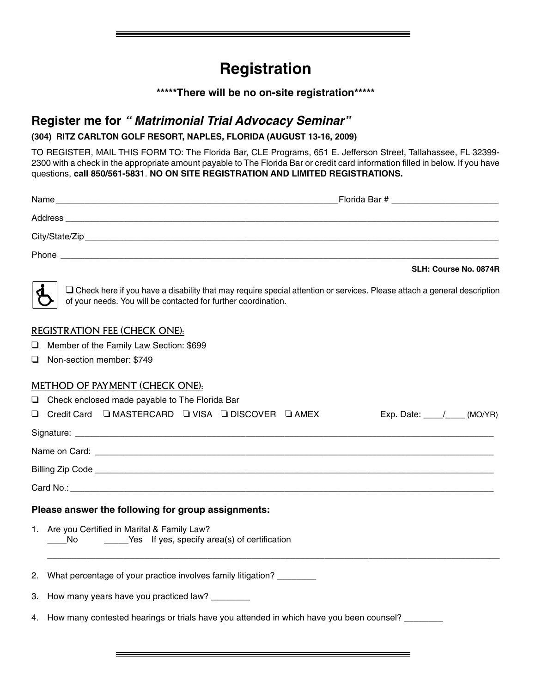## **Registration**

#### **\*\*\*\*\*There will be no on-site registration\*\*\*\*\***

### **Register me for " Matrimonial Trial Advocacy Seminar"**

#### **(304) ritz carlton golf resort, naples, florida (August 13-16, 2009)**

TO REGISTER, MAIL THIS FORM TO: The Florida Bar, CLE Programs, 651 E. Jefferson Street, Tallahassee, FL 32399- 2300 with a check in the appropriate amount payable to The Florida Bar or credit card information filled in below. If you have questions, **call 850/561-5831**. **NO ON SITE REGISTRATION AND LIMITED REGISTRATIONS.**

|    | <b>Phone <i>Phone Phone Phone Phone Phone Phone Phone Phone</i></b>                                                                                                                              |
|----|--------------------------------------------------------------------------------------------------------------------------------------------------------------------------------------------------|
|    | SLH: Course No. 0874R                                                                                                                                                                            |
|    | $\Box$ Check here if you have a disability that may require special attention or services. Please attach a general description<br>of your needs. You will be contacted for further coordination. |
|    | <b>REGISTRATION FEE (CHECK ONE):</b>                                                                                                                                                             |
| ⊔  | Member of the Family Law Section: \$699                                                                                                                                                          |
| ப  | Non-section member: \$749                                                                                                                                                                        |
|    | METHOD OF PAYMENT (CHECK ONE):                                                                                                                                                                   |
| ❏  | Check enclosed made payable to The Florida Bar                                                                                                                                                   |
|    | □ Credit Card □ MASTERCARD □ VISA □ DISCOVER □ AMEX<br>Exp. Date: $\angle$ (MO/YR)                                                                                                               |
|    |                                                                                                                                                                                                  |
|    |                                                                                                                                                                                                  |
|    |                                                                                                                                                                                                  |
|    |                                                                                                                                                                                                  |
|    | Please answer the following for group assignments:                                                                                                                                               |
|    | 1. Are you Certified in Marital & Family Law?<br>_____Yes If yes, specify area(s) of certification<br>No.                                                                                        |
|    | 2. What percentage of your practice involves family litigation? ________                                                                                                                         |
| З. | How many years have you practiced law?                                                                                                                                                           |
|    | 4. How many contested hearings or trials have you attended in which have you been counsel?                                                                                                       |